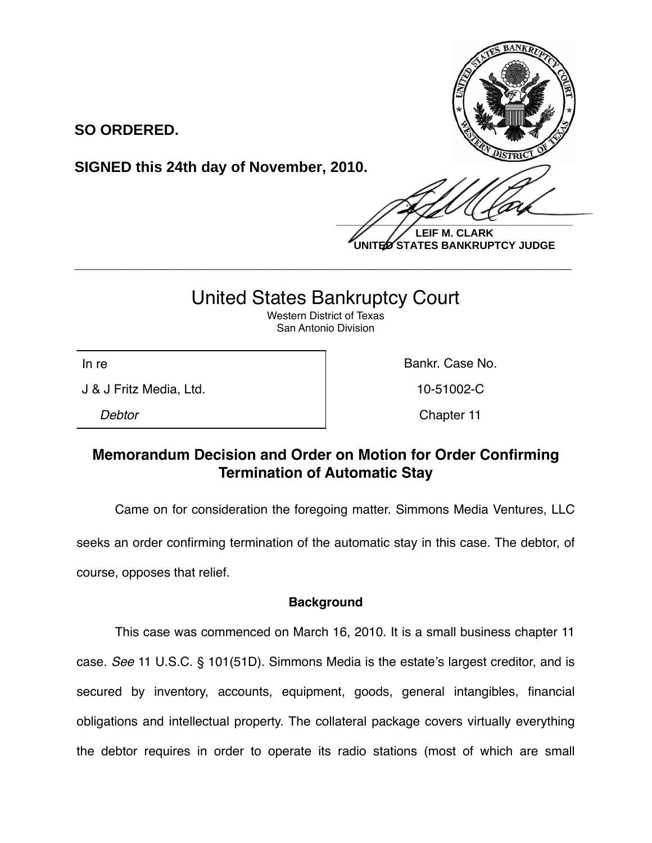

**SO ORDERED.**

**SIGNED this 24th day of November, 2010.**

 $\frac{1}{2}$ **LEIF M. CLARK**

**UNITED STATES BANKRUPTCY JUDGE**

## United States Bankruptcy Court

**\_\_\_\_\_\_\_\_\_\_\_\_\_\_\_\_\_\_\_\_\_\_\_\_\_\_\_\_\_\_\_\_\_\_\_\_\_\_\_\_\_\_\_\_\_\_\_\_\_\_\_\_\_\_\_\_\_\_\_\_**

Western District of Texas San Antonio Division

J & J Fritz Media, Ltd. 10-51002-C

In re **Bankr.** Case No.

*Debtor* Chapter 11

## **Memorandum Decision and Order on Motion for Order Confirming Termination of Automatic Stay**

Came on for consideration the foregoing matter. Simmons Media Ventures, LLC

seeks an order confirming termination of the automatic stay in this case. The debtor, of course, opposes that relief.

## **Background**

This case was commenced on March 16, 2010. It is a small business chapter 11 case. *See* 11 U.S.C. § 101(51D). Simmons Media is the estate's largest creditor, and is secured by inventory, accounts, equipment, goods, general intangibles, financial obligations and intellectual property. The collateral package covers virtually everything the debtor requires in order to operate its radio stations (most of which are small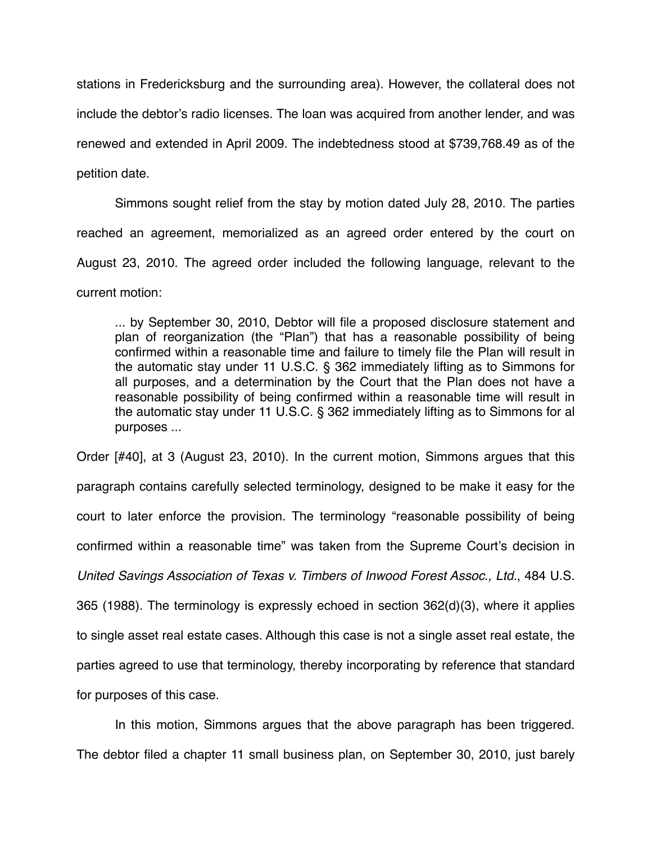stations in Fredericksburg and the surrounding area). However, the collateral does not include the debtor's radio licenses. The loan was acquired from another lender, and was renewed and extended in April 2009. The indebtedness stood at \$739,768.49 as of the petition date.

Simmons sought relief from the stay by motion dated July 28, 2010. The parties reached an agreement, memorialized as an agreed order entered by the court on August 23, 2010. The agreed order included the following language, relevant to the current motion:

... by September 30, 2010, Debtor will file a proposed disclosure statement and plan of reorganization (the "Plan") that has a reasonable possibility of being confirmed within a reasonable time and failure to timely file the Plan will result in the automatic stay under 11 U.S.C. § 362 immediately lifting as to Simmons for all purposes, and a determination by the Court that the Plan does not have a reasonable possibility of being confirmed within a reasonable time will result in the automatic stay under 11 U.S.C. § 362 immediately lifting as to Simmons for al purposes ...

Order [#40], at 3 (August 23, 2010). In the current motion, Simmons argues that this paragraph contains carefully selected terminology, designed to be make it easy for the court to later enforce the provision. The terminology "reasonable possibility of being confirmed within a reasonable time" was taken from the Supreme Court's decision in *United Savings Association of Texas v. Timbers of Inwood Forest Assoc., Ltd.*, 484 U.S. 365 (1988). The terminology is expressly echoed in section 362(d)(3), where it applies to single asset real estate cases. Although this case is not a single asset real estate, the parties agreed to use that terminology, thereby incorporating by reference that standard for purposes of this case.

In this motion, Simmons argues that the above paragraph has been triggered. The debtor filed a chapter 11 small business plan, on September 30, 2010, just barely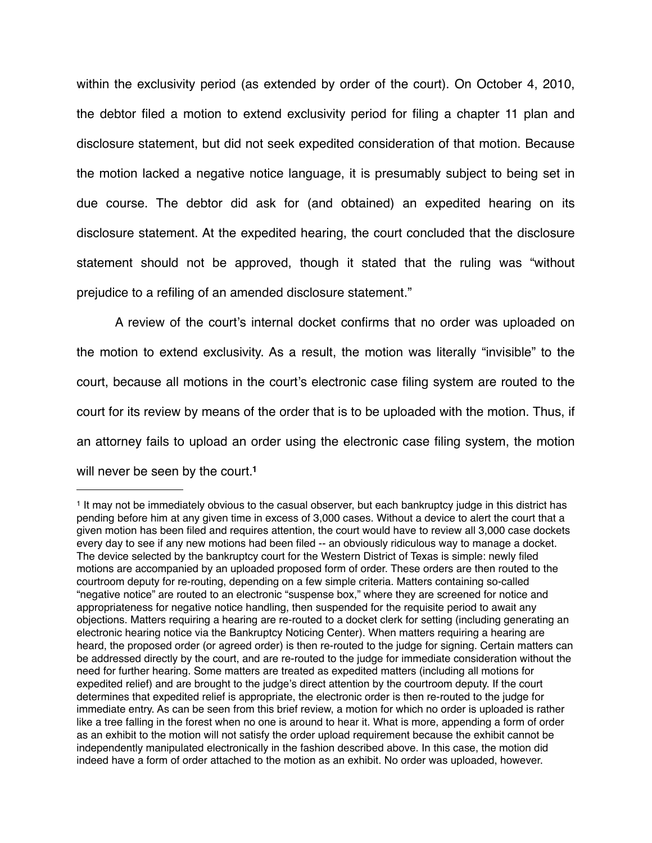within the exclusivity period (as extended by order of the court). On October 4, 2010, the debtor filed a motion to extend exclusivity period for filing a chapter 11 plan and disclosure statement, but did not seek expedited consideration of that motion. Because the motion lacked a negative notice language, it is presumably subject to being set in due course. The debtor did ask for (and obtained) an expedited hearing on its disclosure statement. At the expedited hearing, the court concluded that the disclosure statement should not be approved, though it stated that the ruling was "without prejudice to a refiling of an amended disclosure statement."

A review of the court's internal docket confirms that no order was uploaded on the motion to extend exclusivity. As a result, the motion was literally "invisible" to the court, because all motions in the court's electronic case filing system are routed to the court for its review by means of the order that is to be uploaded with the motion. Thus, if an attorney fails to upload an order using the electronic case filing system, the motion will never be seen by the court.**[1](#page-2-0)**

<span id="page-2-0"></span><sup>1</sup> It may not be immediately obvious to the casual observer, but each bankruptcy judge in this district has pending before him at any given time in excess of 3,000 cases. Without a device to alert the court that a given motion has been filed and requires attention, the court would have to review all 3,000 case dockets every day to see if any new motions had been filed -- an obviously ridiculous way to manage a docket. The device selected by the bankruptcy court for the Western District of Texas is simple: newly filed motions are accompanied by an uploaded proposed form of order. These orders are then routed to the courtroom deputy for re-routing, depending on a few simple criteria. Matters containing so-called "negative notice" are routed to an electronic "suspense box," where they are screened for notice and appropriateness for negative notice handling, then suspended for the requisite period to await any objections. Matters requiring a hearing are re-routed to a docket clerk for setting (including generating an electronic hearing notice via the Bankruptcy Noticing Center). When matters requiring a hearing are heard, the proposed order (or agreed order) is then re-routed to the judge for signing. Certain matters can be addressed directly by the court, and are re-routed to the judge for immediate consideration without the need for further hearing. Some matters are treated as expedited matters (including all motions for expedited relief) and are brought to the judge's direct attention by the courtroom deputy. If the court determines that expedited relief is appropriate, the electronic order is then re-routed to the judge for immediate entry. As can be seen from this brief review, a motion for which no order is uploaded is rather like a tree falling in the forest when no one is around to hear it. What is more, appending a form of order as an exhibit to the motion will not satisfy the order upload requirement because the exhibit cannot be independently manipulated electronically in the fashion described above. In this case, the motion did indeed have a form of order attached to the motion as an exhibit. No order was uploaded, however.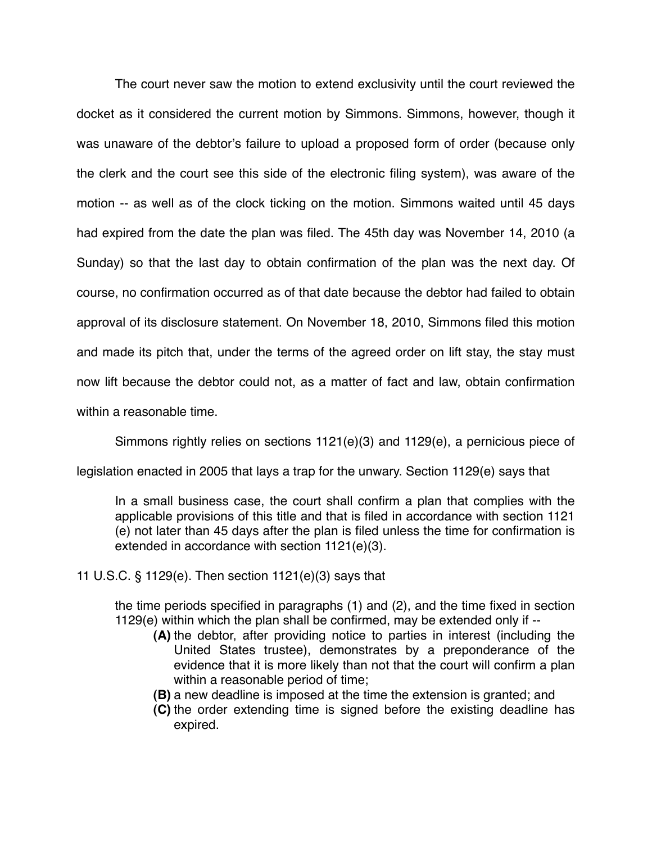The court never saw the motion to extend exclusivity until the court reviewed the docket as it considered the current motion by Simmons. Simmons, however, though it was unaware of the debtor's failure to upload a proposed form of order (because only the clerk and the court see this side of the electronic filing system), was aware of the motion -- as well as of the clock ticking on the motion. Simmons waited until 45 days had expired from the date the plan was filed. The 45th day was November 14, 2010 (a Sunday) so that the last day to obtain confirmation of the plan was the next day. Of course, no confirmation occurred as of that date because the debtor had failed to obtain approval of its disclosure statement. On November 18, 2010, Simmons filed this motion and made its pitch that, under the terms of the agreed order on lift stay, the stay must now lift because the debtor could not, as a matter of fact and law, obtain confirmation within a reasonable time.

Simmons rightly relies on sections 1121(e)(3) and 1129(e), a pernicious piece of

legislation enacted in 2005 that lays a trap for the unwary. Section 1129(e) says that

In a small business case, the court shall confirm a plan that complies with the applicable provisions of this title and that is filed in accordance with section 1121 (e) not later than 45 days after the plan is filed unless the time for confirmation is extended in accordance with section 1121(e)(3).

11 U.S.C. § 1129(e). Then section 1121(e)(3) says that

the time periods specified in paragraphs (1) and (2), and the time fixed in section 1129(e) within which the plan shall be confirmed, may be extended only if --

- **(A)** the debtor, after providing notice to parties in interest (including the United States trustee), demonstrates by a preponderance of the evidence that it is more likely than not that the court will confirm a plan within a reasonable period of time;
- **(B)** a new deadline is imposed at the time the extension is granted; and
- **(C)** the order extending time is signed before the existing deadline has expired.